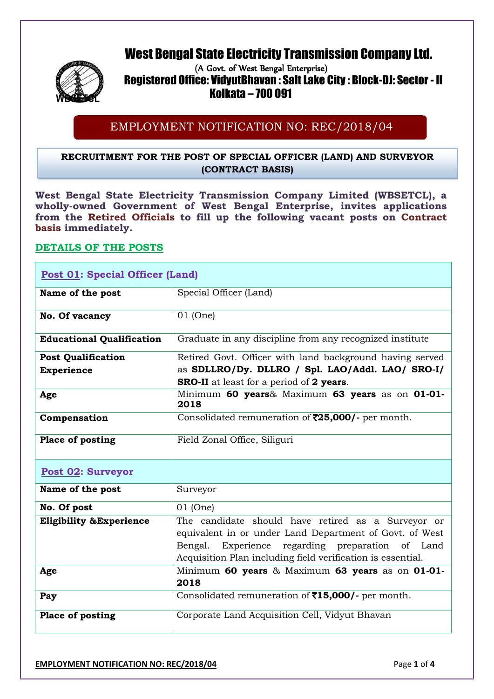# West Bengal State Electricity Transmission Company Ltd.



# (A Govt. of West Bengal Enterprise) Registered Office: VidyutBhavan : Salt Lake City : Block-DJ: Sector - II **WBSETCL** Kolkata – 700 091

# EMPLOYMENT NOTIFICATION NO: REC/2018/04

# **RECRUITMENT FOR THE POST OF SPECIAL OFFICER (LAND) AND SURVEYOR (CONTRACT BASIS)**

**West Bengal State Electricity Transmission Company Limited (WBSETCL), a wholly-owned Government of West Bengal Enterprise, invites applications from the Retired Officials to fill up the following vacant posts on Contract basis immediately.**

# **DETAILS OF THE POSTS**

| <b>Post 01: Special Officer (Land)</b> |                                                               |  |
|----------------------------------------|---------------------------------------------------------------|--|
| Name of the post                       | Special Officer (Land)                                        |  |
| <b>No. Of vacancy</b>                  | 01 (One)                                                      |  |
| <b>Educational Qualification</b>       | Graduate in any discipline from any recognized institute      |  |
| <b>Post Qualification</b>              | Retired Govt. Officer with land background having served      |  |
| <b>Experience</b>                      | as SDLLRO/Dy. DLLRO / Spl. LAO/Addl. LAO/ SRO-I/              |  |
|                                        | <b>SRO-II</b> at least for a period of 2 years.               |  |
| Age                                    | Minimum 60 years& Maximum 63 years as on 01-01-<br>2018       |  |
| Compensation                           | Consolidated remuneration of $\overline{25,000}$ - per month. |  |
| <b>Place of posting</b>                | Field Zonal Office, Siliguri                                  |  |

# **Post 02: Surveyor**

| Name of the post                   | Surveyor                                                                                                                                                                                                                         |  |
|------------------------------------|----------------------------------------------------------------------------------------------------------------------------------------------------------------------------------------------------------------------------------|--|
| No. Of post                        | 01 (One)                                                                                                                                                                                                                         |  |
| <b>Eligibility &amp;Experience</b> | The candidate should have retired as a Surveyor or<br>equivalent in or under Land Department of Govt. of West<br>Bengal. Experience regarding preparation of Land<br>Acquisition Plan including field verification is essential. |  |
| Age                                | Minimum 60 years & Maximum 63 years as on 01-01-<br>2018                                                                                                                                                                         |  |
| Pay                                | Consolidated remuneration of $\bar{515,000}$ - per month.                                                                                                                                                                        |  |
| Place of posting                   | Corporate Land Acquisition Cell, Vidyut Bhavan                                                                                                                                                                                   |  |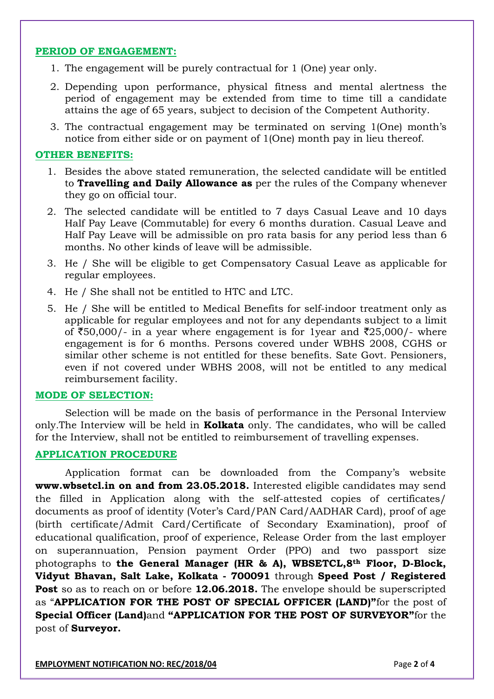#### **PERIOD OF ENGAGEMENT:**

- 1. The engagement will be purely contractual for 1 (One) year only.
- 2. Depending upon performance, physical fitness and mental alertness the period of engagement may be extended from time to time till a candidate attains the age of 65 years, subject to decision of the Competent Authority.
- 3. The contractual engagement may be terminated on serving 1(One) month's notice from either side or on payment of 1(One) month pay in lieu thereof.

#### **OTHER BENEFITS:**

- 1. Besides the above stated remuneration, the selected candidate will be entitled to **Travelling and Daily Allowance as** per the rules of the Company whenever they go on official tour.
- 2. The selected candidate will be entitled to 7 days Casual Leave and 10 days Half Pay Leave (Commutable) for every 6 months duration. Casual Leave and Half Pay Leave will be admissible on pro rata basis for any period less than 6 months. No other kinds of leave will be admissible.
- 3. He / She will be eligible to get Compensatory Casual Leave as applicable for regular employees.
- 4. He / She shall not be entitled to HTC and LTC.
- 5. He / She will be entitled to Medical Benefits for self-indoor treatment only as applicable for regular employees and not for any dependants subject to a limit of  $\text{\textdegree}50,000$ /- in a year where engagement is for 1year and  $\text{\textdegree}25,000$ /- where engagement is for 6 months. Persons covered under WBHS 2008, CGHS or similar other scheme is not entitled for these benefits. Sate Govt. Pensioners, even if not covered under WBHS 2008, will not be entitled to any medical reimbursement facility.

#### **MODE OF SELECTION:**

Selection will be made on the basis of performance in the Personal Interview only*.*The Interview will be held in **Kolkata** only. The candidates, who will be called for the Interview, shall not be entitled to reimbursement of travelling expenses.

#### **APPLICATION PROCEDURE**

Application format can be downloaded from the Company's website **www.wbsetcl.in on and from 23.05.2018.** Interested eligible candidates may send the filled in Application along with the self-attested copies of certificates/ documents as proof of identity (Voter's Card/PAN Card/AADHAR Card), proof of age (birth certificate/Admit Card/Certificate of Secondary Examination), proof of educational qualification, proof of experience, Release Order from the last employer on superannuation, Pension payment Order (PPO) and two passport size photographs to **the General Manager (HR & A), WBSETCL,8th Floor, D-Block, Vidyut Bhavan, Salt Lake, Kolkata - 700091** through **Speed Post / Registered Post** so as to reach on or before **12.06.2018.** The envelope should be superscripted as "**APPLICATION FOR THE POST OF SPECIAL OFFICER (LAND)"**for the post of **Special Officer (Land)**and **"APPLICATION FOR THE POST OF SURVEYOR"**for the post of **Surveyor.**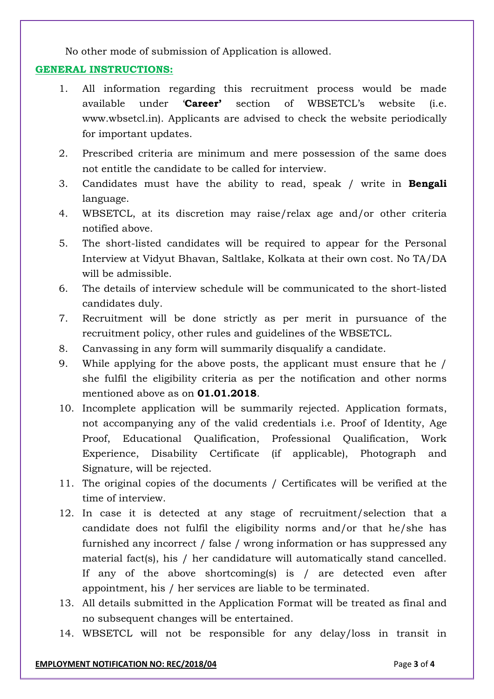No other mode of submission of Application is allowed.

### **GENERAL INSTRUCTIONS:**

- 1. All information regarding this recruitment process would be made available under '**Career'** section of WBSETCL's website (i.e. www.wbsetcl.in). Applicants are advised to check the website periodically for important updates.
- 2. Prescribed criteria are minimum and mere possession of the same does not entitle the candidate to be called for interview.
- 3. Candidates must have the ability to read, speak / write in **Bengali** language.
- 4. WBSETCL, at its discretion may raise/relax age and/or other criteria notified above.
- 5. The short-listed candidates will be required to appear for the Personal Interview at Vidyut Bhavan, Saltlake, Kolkata at their own cost. No TA/DA will be admissible.
- 6. The details of interview schedule will be communicated to the short-listed candidates duly.
- 7. Recruitment will be done strictly as per merit in pursuance of the recruitment policy, other rules and guidelines of the WBSETCL.
- 8. Canvassing in any form will summarily disqualify a candidate.
- 9. While applying for the above posts, the applicant must ensure that he / she fulfil the eligibility criteria as per the notification and other norms mentioned above as on **01.01.2018**.
- 10. Incomplete application will be summarily rejected. Application formats, not accompanying any of the valid credentials i.e. Proof of Identity, Age Proof, Educational Qualification, Professional Qualification, Work Experience, Disability Certificate (if applicable), Photograph and Signature, will be rejected.
- 11. The original copies of the documents / Certificates will be verified at the time of interview.
- 12. In case it is detected at any stage of recruitment/selection that a candidate does not fulfil the eligibility norms and/or that he/she has furnished any incorrect / false / wrong information or has suppressed any material fact(s), his / her candidature will automatically stand cancelled. If any of the above shortcoming(s) is / are detected even after appointment, his / her services are liable to be terminated.
- 13. All details submitted in the Application Format will be treated as final and no subsequent changes will be entertained.
- 14. WBSETCL will not be responsible for any delay/loss in transit in

#### **EMPLOYMENT NOTIFICATION NO: REC/2018/04 Page 1 of 4 Page 3 of 4**